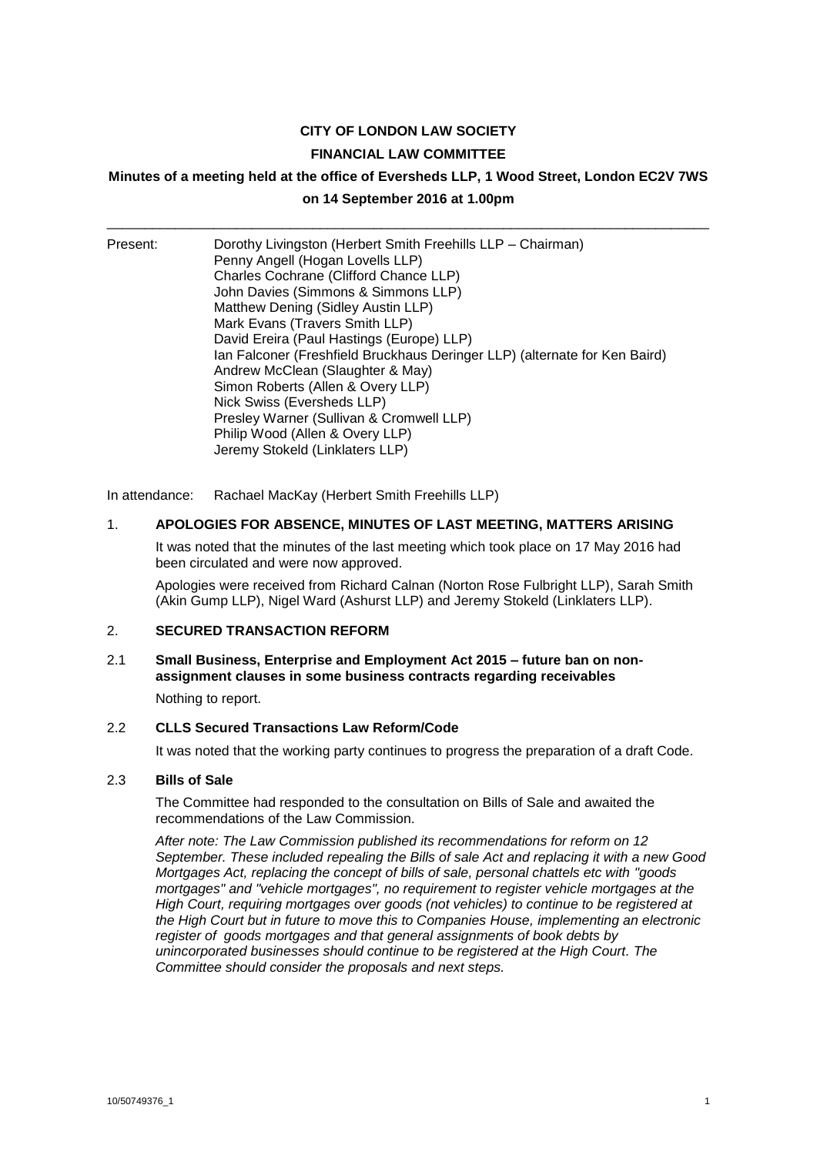## **CITY OF LONDON LAW SOCIETY**

#### **FINANCIAL LAW COMMITTEE**

#### **Minutes of a meeting held at the office of Eversheds LLP, 1 Wood Street, London EC2V 7WS**

# **on 14 September 2016 at 1.00pm** \_\_\_\_\_\_\_\_\_\_\_\_\_\_\_\_\_\_\_\_\_\_\_\_\_\_\_\_\_\_\_\_\_\_\_\_\_\_\_\_\_\_\_\_\_\_\_\_\_\_\_\_\_\_\_\_\_\_\_\_\_\_\_\_\_\_\_\_\_\_\_\_\_\_\_\_\_\_\_

| Present: | Dorothy Livingston (Herbert Smith Freehills LLP - Chairman)<br>Penny Angell (Hogan Lovells LLP)<br>Charles Cochrane (Clifford Chance LLP) |
|----------|-------------------------------------------------------------------------------------------------------------------------------------------|
|          | John Davies (Simmons & Simmons LLP)                                                                                                       |
|          | Matthew Dening (Sidley Austin LLP)                                                                                                        |
|          | Mark Evans (Travers Smith LLP)                                                                                                            |
|          | David Ereira (Paul Hastings (Europe) LLP)                                                                                                 |
|          | Ian Falconer (Freshfield Bruckhaus Deringer LLP) (alternate for Ken Baird)                                                                |
|          | Andrew McClean (Slaughter & May)                                                                                                          |
|          | Simon Roberts (Allen & Overy LLP)                                                                                                         |
|          | Nick Swiss (Eversheds LLP)                                                                                                                |
|          | Presley Warner (Sullivan & Cromwell LLP)                                                                                                  |
|          | Philip Wood (Allen & Overy LLP)                                                                                                           |
|          | Jeremy Stokeld (Linklaters LLP)                                                                                                           |

In attendance: Rachael MacKay (Herbert Smith Freehills LLP)

#### 1. **APOLOGIES FOR ABSENCE, MINUTES OF LAST MEETING, MATTERS ARISING**

It was noted that the minutes of the last meeting which took place on 17 May 2016 had been circulated and were now approved.

Apologies were received from Richard Calnan (Norton Rose Fulbright LLP), Sarah Smith (Akin Gump LLP), Nigel Ward (Ashurst LLP) and Jeremy Stokeld (Linklaters LLP).

## 2. **SECURED TRANSACTION REFORM**

# 2.1 **Small Business, Enterprise and Employment Act 2015 – future ban on nonassignment clauses in some business contracts regarding receivables**

Nothing to report.

# 2.2 **CLLS Secured Transactions Law Reform/Code**

It was noted that the working party continues to progress the preparation of a draft Code.

# 2.3 **Bills of Sale**

The Committee had responded to the consultation on Bills of Sale and awaited the recommendations of the Law Commission.

*After note: The Law Commission published its recommendations for reform on 12 September. These included repealing the Bills of sale Act and replacing it with a new Good Mortgages Act, replacing the concept of bills of sale, personal chattels etc with "goods mortgages" and "vehicle mortgages", no requirement to register vehicle mortgages at the High Court, requiring mortgages over goods (not vehicles) to continue to be registered at the High Court but in future to move this to Companies House, implementing an electronic register of goods mortgages and that general assignments of book debts by unincorporated businesses should continue to be registered at the High Court. The Committee should consider the proposals and next steps.*